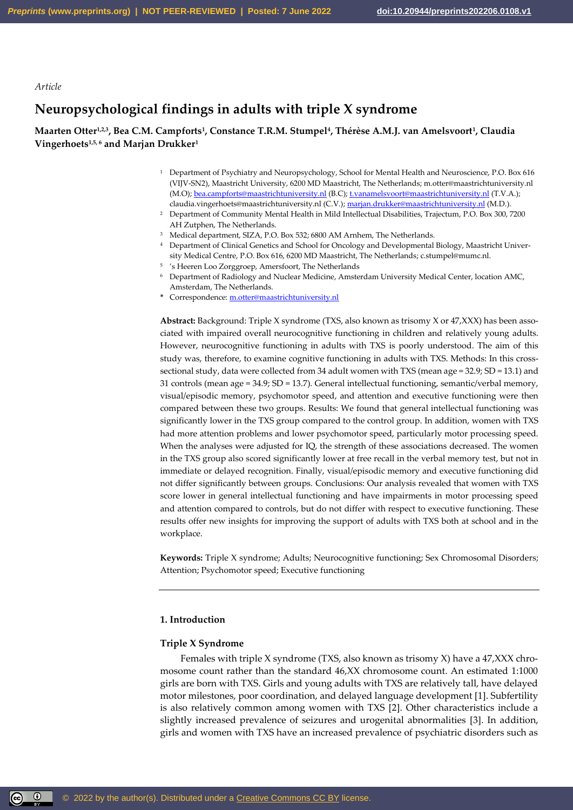*Article*

# **Neuropsychological findings in adults with triple X syndrome**

**Maarten Otter1,2,3, Bea C.M. Campforts<sup>1</sup> , Constance T.R.M. Stumpel<sup>4</sup> , Thérèse A.M.J. van Amelsvoort<sup>1</sup> , Claudia Vingerhoets1,5, <sup>6</sup> and Marjan Drukker<sup>1</sup>**

- <sup>1</sup> Department of Psychiatry and Neuropsychology, School for Mental Health and Neuroscience, P.O. Box 616 (VIJV-SN2), Maastricht University, 6200 MD Maastricht, The Netherlands; m.otter@maastrichtuniversity.nl (M.O)[; bea.campforts@maastrichtuniversity.nl](mailto:bea.campforts@maastrichtuniversity.nl) (B.C)[; t.vanamelsvoort@maastrichtuniversity.nl](mailto:t.vanamelsvoort@maastrichtuniversity.nl) (T.V.A.); claudia.vingerhoets@maastrichtuniversity.nl (C.V.)[; marjan.drukker@maastrichtuniversity.nl](mailto:marjan.drukker@maastrichtuniversity.nl) (M.D.).
- <sup>2</sup> Department of Community Mental Health in Mild Intellectual Disabilities, Trajectum, P.O. Box 300, 7200 AH Zutphen, The Netherlands.
- <sup>3</sup> Medical department, SIZA, P.O. Box 532; 6800 AM Arnhem, The Netherlands.
- <sup>4</sup> Department of Clinical Genetics and School for Oncology and Developmental Biology, Maastricht University Medical Centre, P.O. Box 616, 6200 MD Maastricht, The Netherlands; c.stumpel@mumc.nl.
- 5 's Heeren Loo Zorggroep, Amersfoort, The Netherlands
- <sup>6</sup> Department of Radiology and Nuclear Medicine, Amsterdam University Medical Center, location AMC, Amsterdam, The Netherlands.
- **\*** Correspondence[: m.otter@maastrichtuniversity.nl](mailto:m.otter@maastrichtuniversity.nl)

**Abstract:** Background: Triple X syndrome (TXS, also known as trisomy X or 47,XXX) has been associated with impaired overall neurocognitive functioning in children and relatively young adults. However, neurocognitive functioning in adults with TXS is poorly understood. The aim of this study was, therefore, to examine cognitive functioning in adults with TXS. Methods: In this crosssectional study, data were collected from 34 adult women with TXS (mean age = 32.9; SD = 13.1) and 31 controls (mean age = 34.9; SD = 13.7). General intellectual functioning, semantic/verbal memory, visual/episodic memory, psychomotor speed, and attention and executive functioning were then compared between these two groups. Results: We found that general intellectual functioning was significantly lower in the TXS group compared to the control group. In addition, women with TXS had more attention problems and lower psychomotor speed, particularly motor processing speed. When the analyses were adjusted for IQ, the strength of these associations decreased. The women in the TXS group also scored significantly lower at free recall in the verbal memory test, but not in immediate or delayed recognition. Finally, visual/episodic memory and executive functioning did not differ significantly between groups. Conclusions: Our analysis revealed that women with TXS score lower in general intellectual functioning and have impairments in motor processing speed and attention compared to controls, but do not differ with respect to executive functioning. These results offer new insights for improving the support of adults with TXS both at school and in the workplace.

**Keywords:** Triple X syndrome; Adults; Neurocognitive functioning; Sex Chromosomal Disorders; Attention; Psychomotor speed; Executive functioning

# **1. Introduction**

### **Triple X Syndrome**

Females with triple X syndrome (TXS, also known as trisomy X) have a 47,XXX chromosome count rather than the standard 46,XX chromosome count. An estimated 1:1000 girls are born with TXS. Girls and young adults with TXS are relatively tall, have delayed motor milestones, poor coordination, and delayed language development [1]. Subfertility is also relatively common among women with TXS [2]. Other characteristics include a slightly increased prevalence of seizures and urogenital abnormalities [3]. In addition, girls and women with TXS have an increased prevalence of psychiatric disorders such as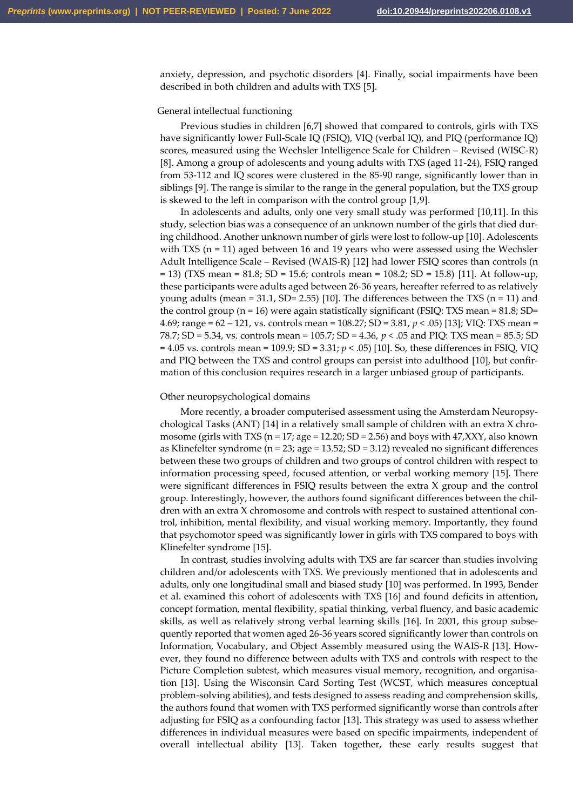anxiety, depression, and psychotic disorders [4]. Finally, social impairments have been described in both children and adults with TXS [5].

### General intellectual functioning

Previous studies in children [6,7] showed that compared to controls, girls with TXS have significantly lower Full-Scale IQ (FSIQ), VIQ (verbal IQ), and PIQ (performance IQ) scores, measured using the Wechsler Intelligence Scale for Children – Revised (WISC-R) [8]. Among a group of adolescents and young adults with TXS (aged 11-24), FSIQ ranged from 53-112 and IQ scores were clustered in the 85-90 range, significantly lower than in siblings [9]. The range is similar to the range in the general population, but the TXS group is skewed to the left in comparison with the control group [1,9].

In adolescents and adults, only one very small study was performed [10,11]. In this study, selection bias was a consequence of an unknown number of the girls that died during childhood. Another unknown number of girls were lost to follow-up [10]. Adolescents with TXS  $(n = 11)$  aged between 16 and 19 years who were assessed using the Wechsler Adult Intelligence Scale – Revised (WAIS-R) [12] had lower FSIQ scores than controls (n = 13) (TXS mean = 81.8; SD = 15.6; controls mean = 108.2; SD = 15.8) [11]. At follow-up, these participants were adults aged between 26-36 years, hereafter referred to as relatively young adults (mean = 31.1, SD= 2.55) [10]. The differences between the TXS (n = 11) and the control group ( $n = 16$ ) were again statistically significant (FSIQ: TXS mean = 81.8; SD= 4.69; range = 62 – 121, vs. controls mean = 108.27; SD = 3.81, *p* < .05) [13]; VIQ: TXS mean = 78.7; SD = 5.34, vs. controls mean = 105.7; SD = 4.36, *p* < .05 and PIQ: TXS mean = 85.5; SD = 4.05 vs. controls mean = 109.9; SD = 3.31; *p* < .05) [10]. So, these differences in FSIQ, VIQ and PIQ between the TXS and control groups can persist into adulthood [10], but confirmation of this conclusion requires research in a larger unbiased group of participants.

### Other neuropsychological domains

More recently, a broader computerised assessment using the Amsterdam Neuropsychological Tasks (ANT) [14] in a relatively small sample of children with an extra X chromosome (girls with TXS ( $n = 17$ ; age = 12.20; SD = 2.56) and boys with 47,XXY, also known as Klinefelter syndrome (n = 23; age = 13.52; SD = 3.12) revealed no significant differences between these two groups of children and two groups of control children with respect to information processing speed, focused attention, or verbal working memory [15]. There were significant differences in FSIQ results between the extra X group and the control group. Interestingly, however, the authors found significant differences between the children with an extra X chromosome and controls with respect to sustained attentional control, inhibition, mental flexibility, and visual working memory. Importantly, they found that psychomotor speed was significantly lower in girls with TXS compared to boys with Klinefelter syndrome [15].

In contrast, studies involving adults with TXS are far scarcer than studies involving children and/or adolescents with TXS. We previously mentioned that in adolescents and adults, only one longitudinal small and biased study [10] was performed. In 1993, Bender et al. examined this cohort of adolescents with TXS [16] and found deficits in attention, concept formation, mental flexibility, spatial thinking, verbal fluency, and basic academic skills, as well as relatively strong verbal learning skills [16]. In 2001, this group subsequently reported that women aged 26-36 years scored significantly lower than controls on Information, Vocabulary, and Object Assembly measured using the WAIS-R [13]. However, they found no difference between adults with TXS and controls with respect to the Picture Completion subtest, which measures visual memory, recognition, and organisation [13]. Using the Wisconsin Card Sorting Test (WCST, which measures conceptual problem-solving abilities), and tests designed to assess reading and comprehension skills, the authors found that women with TXS performed significantly worse than controls after adjusting for FSIQ as a confounding factor [13]. This strategy was used to assess whether differences in individual measures were based on specific impairments, independent of overall intellectual ability [13]. Taken together, these early results suggest that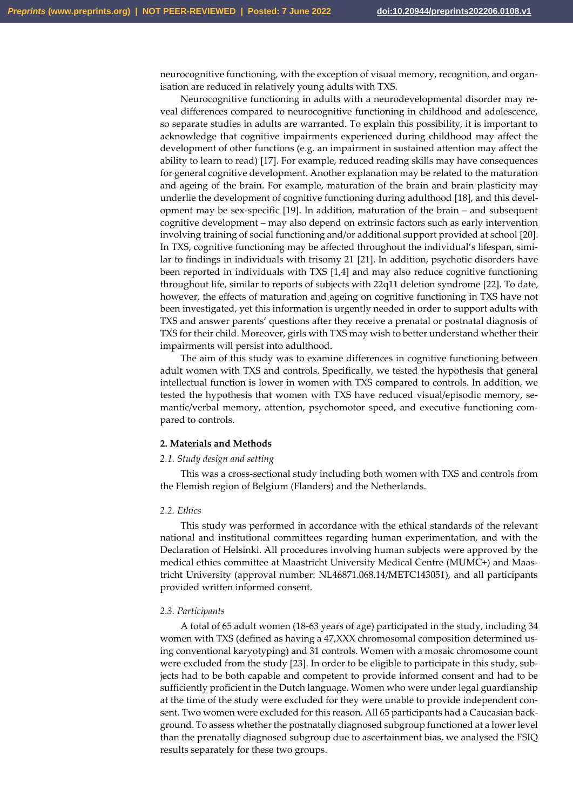neurocognitive functioning, with the exception of visual memory, recognition, and organisation are reduced in relatively young adults with TXS.

Neurocognitive functioning in adults with a neurodevelopmental disorder may reveal differences compared to neurocognitive functioning in childhood and adolescence, so separate studies in adults are warranted. To explain this possibility, it is important to acknowledge that cognitive impairments experienced during childhood may affect the development of other functions (e.g. an impairment in sustained attention may affect the ability to learn to read) [17]. For example, reduced reading skills may have consequences for general cognitive development. Another explanation may be related to the maturation and ageing of the brain. For example, maturation of the brain and brain plasticity may underlie the development of cognitive functioning during adulthood [18], and this development may be sex-specific [19]. In addition, maturation of the brain ‒ and subsequent cognitive development ‒ may also depend on extrinsic factors such as early intervention involving training of social functioning and/or additional support provided at school [20]. In TXS, cognitive functioning may be affected throughout the individual's lifespan, similar to findings in individuals with trisomy 21 [21]. In addition, psychotic disorders have been reported in individuals with TXS [1,4] and may also reduce cognitive functioning throughout life, similar to reports of subjects with 22q11 deletion syndrome [22]. To date, however, the effects of maturation and ageing on cognitive functioning in TXS have not been investigated, yet this information is urgently needed in order to support adults with TXS and answer parents' questions after they receive a prenatal or postnatal diagnosis of TXS for their child. Moreover, girls with TXS may wish to better understand whether their impairments will persist into adulthood.

The aim of this study was to examine differences in cognitive functioning between adult women with TXS and controls. Specifically, we tested the hypothesis that general intellectual function is lower in women with TXS compared to controls. In addition, we tested the hypothesis that women with TXS have reduced visual/episodic memory, semantic/verbal memory, attention, psychomotor speed, and executive functioning compared to controls.

### **2. Materials and Methods**

### *2.1. Study design and setting*

This was a cross-sectional study including both women with TXS and controls from the Flemish region of Belgium (Flanders) and the Netherlands.

# *2.2. Ethics*

This study was performed in accordance with the ethical standards of the relevant national and institutional committees regarding human experimentation, and with the Declaration of Helsinki. All procedures involving human subjects were approved by the medical ethics committee at Maastricht University Medical Centre (MUMC+) and Maastricht University (approval number: NL46871.068.14/METC143051), and all participants provided written informed consent.

#### *2.3. Participants*

A total of 65 adult women (18-63 years of age) participated in the study, including 34 women with TXS (defined as having a 47,XXX chromosomal composition determined using conventional karyotyping) and 31 controls. Women with a mosaic chromosome count were excluded from the study [23]. In order to be eligible to participate in this study, subjects had to be both capable and competent to provide informed consent and had to be sufficiently proficient in the Dutch language. Women who were under legal guardianship at the time of the study were excluded for they were unable to provide independent consent. Two women were excluded for this reason. All 65 participants had a Caucasian background. To assess whether the postnatally diagnosed subgroup functioned at a lower level than the prenatally diagnosed subgroup due to ascertainment bias, we analysed the FSIQ results separately for these two groups.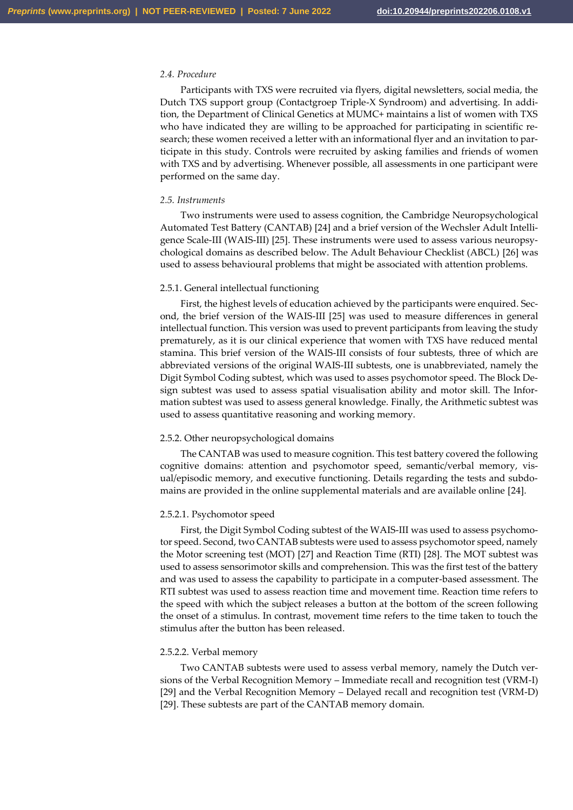# *2.4. Procedure*

Participants with TXS were recruited via flyers, digital newsletters, social media, the Dutch TXS support group (Contactgroep Triple-X Syndroom) and advertising. In addition, the Department of Clinical Genetics at MUMC+ maintains a list of women with TXS who have indicated they are willing to be approached for participating in scientific research; these women received a letter with an informational flyer and an invitation to participate in this study. Controls were recruited by asking families and friends of women with TXS and by advertising. Whenever possible, all assessments in one participant were performed on the same day.

### *2.5. Instruments*

Two instruments were used to assess cognition, the Cambridge Neuropsychological Automated Test Battery (CANTAB) [24] and a brief version of the Wechsler Adult Intelligence Scale-III (WAIS-III) [25]. These instruments were used to assess various neuropsychological domains as described below. The Adult Behaviour Checklist (ABCL) [26] was used to assess behavioural problems that might be associated with attention problems.

### 2.5.1. General intellectual functioning

First, the highest levels of education achieved by the participants were enquired. Second, the brief version of the WAIS-III [25] was used to measure differences in general intellectual function. This version was used to prevent participants from leaving the study prematurely, as it is our clinical experience that women with TXS have reduced mental stamina. This brief version of the WAIS-III consists of four subtests, three of which are abbreviated versions of the original WAIS-III subtests, one is unabbreviated, namely the Digit Symbol Coding subtest, which was used to asses psychomotor speed. The Block Design subtest was used to assess spatial visualisation ability and motor skill. The Information subtest was used to assess general knowledge. Finally, the Arithmetic subtest was used to assess quantitative reasoning and working memory.

# 2.5.2. Other neuropsychological domains

The CANTAB was used to measure cognition. This test battery covered the following cognitive domains: attention and psychomotor speed, semantic/verbal memory, visual/episodic memory, and executive functioning. Details regarding the tests and subdomains are provided in the online supplemental materials and are available online [24].

### 2.5.2.1. Psychomotor speed

First, the Digit Symbol Coding subtest of the WAIS-III was used to assess psychomotor speed. Second, two CANTAB subtests were used to assess psychomotor speed, namely the Motor screening test (MOT) [27] and Reaction Time (RTI) [28]. The MOT subtest was used to assess sensorimotor skills and comprehension. This was the first test of the battery and was used to assess the capability to participate in a computer-based assessment. The RTI subtest was used to assess reaction time and movement time. Reaction time refers to the speed with which the subject releases a button at the bottom of the screen following the onset of a stimulus. In contrast, movement time refers to the time taken to touch the stimulus after the button has been released.

#### 2.5.2.2. Verbal memory

Two CANTAB subtests were used to assess verbal memory, namely the Dutch versions of the Verbal Recognition Memory – Immediate recall and recognition test (VRM-I) [29] and the Verbal Recognition Memory – Delayed recall and recognition test (VRM-D) [29]. These subtests are part of the CANTAB memory domain.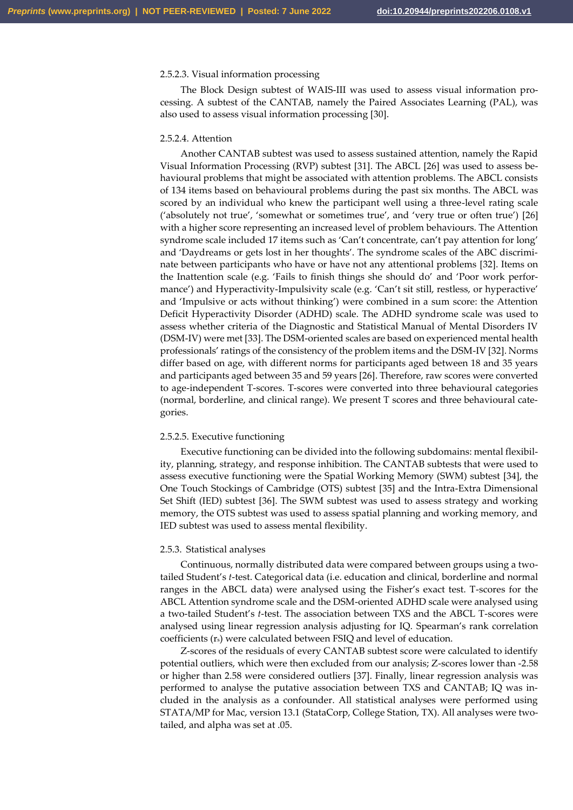# 2.5.2.3. Visual information processing

The Block Design subtest of WAIS-III was used to assess visual information processing. A subtest of the CANTAB, namely the Paired Associates Learning (PAL), was also used to assess visual information processing [30].

#### 2.5.2.4. Attention

Another CANTAB subtest was used to assess sustained attention, namely the Rapid Visual Information Processing (RVP) subtest [31]. The ABCL [26] was used to assess behavioural problems that might be associated with attention problems. The ABCL consists of 134 items based on behavioural problems during the past six months. The ABCL was scored by an individual who knew the participant well using a three-level rating scale ('absolutely not true', 'somewhat or sometimes true', and 'very true or often true') [26] with a higher score representing an increased level of problem behaviours. The Attention syndrome scale included 17 items such as 'Can't concentrate, can't pay attention for long' and 'Daydreams or gets lost in her thoughts'. The syndrome scales of the ABC discriminate between participants who have or have not any attentional problems [32]. Items on the Inattention scale (e.g. 'Fails to finish things she should do' and 'Poor work performance') and Hyperactivity-Impulsivity scale (e.g. 'Can't sit still, restless, or hyperactive' and 'Impulsive or acts without thinking') were combined in a sum score: the Attention Deficit Hyperactivity Disorder (ADHD) scale. The ADHD syndrome scale was used to assess whether criteria of the Diagnostic and Statistical Manual of Mental Disorders IV (DSM-IV) were met [33]. The DSM-oriented scales are based on experienced mental health professionals' ratings of the consistency of the problem items and the DSM-IV [32]. Norms differ based on age, with different norms for participants aged between 18 and 35 years and participants aged between 35 and 59 years [26]. Therefore, raw scores were converted to age-independent T-scores. T-scores were converted into three behavioural categories (normal, borderline, and clinical range). We present T scores and three behavioural categories.

#### 2.5.2.5. Executive functioning

Executive functioning can be divided into the following subdomains: mental flexibility, planning, strategy, and response inhibition. The CANTAB subtests that were used to assess executive functioning were the Spatial Working Memory (SWM) subtest [34], the One Touch Stockings of Cambridge (OTS) subtest [35] and the Intra-Extra Dimensional Set Shift (IED) subtest [36]. The SWM subtest was used to assess strategy and working memory, the OTS subtest was used to assess spatial planning and working memory, and IED subtest was used to assess mental flexibility.

#### 2.5.3. Statistical analyses

Continuous, normally distributed data were compared between groups using a twotailed Student's *t*-test. Categorical data (i.e. education and clinical, borderline and normal ranges in the ABCL data) were analysed using the Fisher's exact test. T-scores for the ABCL Attention syndrome scale and the DSM-oriented ADHD scale were analysed using a two-tailed Student's *t*-test. The association between TXS and the ABCL T-scores were analysed using linear regression analysis adjusting for IQ. Spearman's rank correlation coefficients (rs) were calculated between FSIQ and level of education.

Z-scores of the residuals of every CANTAB subtest score were calculated to identify potential outliers, which were then excluded from our analysis; Z-scores lower than -2.58 or higher than 2.58 were considered outliers [37]. Finally, linear regression analysis was performed to analyse the putative association between TXS and CANTAB; IQ was included in the analysis as a confounder. All statistical analyses were performed using STATA/MP for Mac, version 13.1 (StataCorp, College Station, TX). All analyses were twotailed, and alpha was set at .05.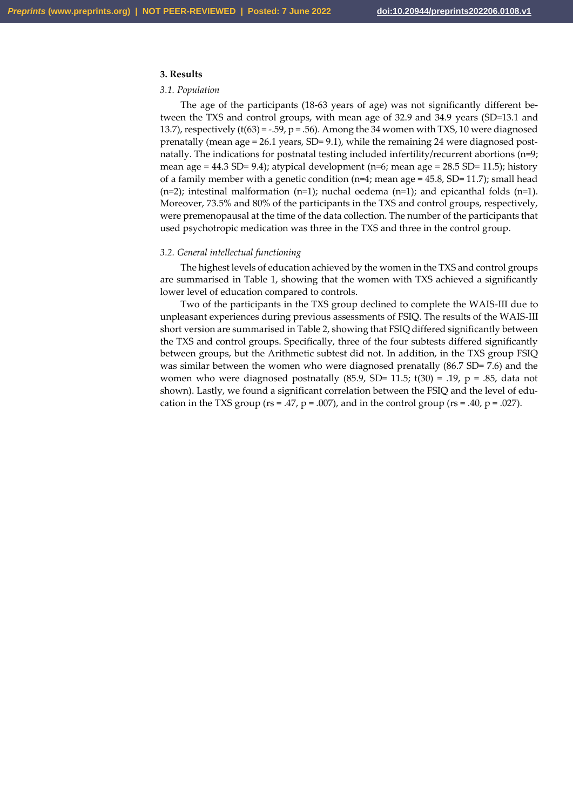# **3. Results**

# *3.1. Population*

The age of the participants (18-63 years of age) was not significantly different between the TXS and control groups, with mean age of 32.9 and 34.9 years (SD=13.1 and 13.7), respectively  $(t(63) = -.59, p = .56)$ . Among the 34 women with TXS, 10 were diagnosed prenatally (mean age =  $26.1$  years, SD=  $9.1$ ), while the remaining 24 were diagnosed postnatally. The indications for postnatal testing included infertility/recurrent abortions (n=9; mean age =  $44.3$  SD=  $9.4$ ); atypical development (n=6; mean age =  $28.5$  SD= 11.5); history of a family member with a genetic condition ( $n=4$ ; mean age = 45.8, SD= 11.7); small head  $(n=2)$ ; intestinal malformation  $(n=1)$ ; nuchal oedema  $(n=1)$ ; and epicanthal folds  $(n=1)$ . Moreover, 73.5% and 80% of the participants in the TXS and control groups, respectively, were premenopausal at the time of the data collection. The number of the participants that used psychotropic medication was three in the TXS and three in the control group.

### *3.2. General intellectual functioning*

The highest levels of education achieved by the women in the TXS and control groups are summarised in Table 1, showing that the women with TXS achieved a significantly lower level of education compared to controls.

Two of the participants in the TXS group declined to complete the WAIS-III due to unpleasant experiences during previous assessments of FSIQ. The results of the WAIS-III short version are summarised in Table 2, showing that FSIQ differed significantly between the TXS and control groups. Specifically, three of the four subtests differed significantly between groups, but the Arithmetic subtest did not. In addition, in the TXS group FSIQ was similar between the women who were diagnosed prenatally (86.7 SD= 7.6) and the women who were diagnosed postnatally  $(85.9, SD= 11.5; t(30) = .19, p = .85, data not$ shown). Lastly, we found a significant correlation between the FSIQ and the level of education in the TXS group ( $rs = .47$ ,  $p = .007$ ), and in the control group ( $rs = .40$ ,  $p = .027$ ).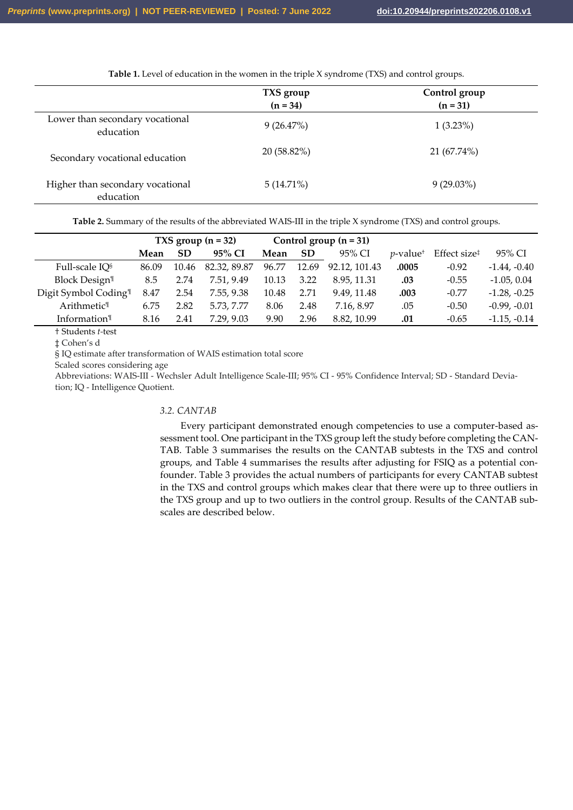Table 1. Level of education in the women in the triple X syndrome (TXS) and control groups.

|                                               | TXS group<br>$(n = 34)$ | Control group<br>$(n = 31)$ |
|-----------------------------------------------|-------------------------|-----------------------------|
| Lower than secondary vocational<br>education  | 9(26.47%)               | $1(3.23\%)$                 |
| Secondary vocational education                | 20 (58.82%)             | 21 (67.74%)                 |
| Higher than secondary vocational<br>education | $5(14.71\%)$            | $9(29.03\%)$                |

**Table 2.** Summary of the results of the abbreviated WAIS-III in the triple X syndrome (TXS) and control groups.

|                                  | TXS group $(n = 32)$ |           |              | Control group $(n = 31)$ |           |               |                         |                                       |                |
|----------------------------------|----------------------|-----------|--------------|--------------------------|-----------|---------------|-------------------------|---------------------------------------|----------------|
|                                  | Mean                 | <b>SD</b> | 95% CI       | Mean                     | <b>SD</b> | 95% CI        | $v$ -value <sup>+</sup> | Effect size <sup><math>†</math></sup> | 95% CI         |
| Full-scale IQ <sup>§</sup>       | 86.09                | 10.46     | 82.32, 89.87 | 96.77                    | 12.69     | 92.12, 101.43 | .0005                   | $-0.92$                               | $-1.44, -0.40$ |
| <b>Block Design<sup>1</sup></b>  | 8.5                  | 2.74      | 7.51, 9.49   | 10.13                    | 3.22      | 8.95, 11.31   | .03                     | $-0.55$                               | $-1.05, 0.04$  |
| Digit Symbol Coding <sup>1</sup> | 8.47                 | 2.54      | 7.55, 9.38   | 10.48                    | 2.71      | 9.49.11.48    | .003                    | $-0.77$                               | $-1.28, -0.25$ |
| Arithmetic <sup>1</sup>          | 6.75                 | 2.82      | 5.73, 7.77   | 8.06                     | 2.48      | 7.16.8.97     | .05                     | $-0.50$                               | $-0.99, -0.01$ |
| Information $\mathbb{I}$         | 8.16                 | 2.41      | 7.29, 9.03   | 9.90                     | 2.96      | 8.82, 10.99   | .01                     | $-0.65$                               | $-1.15, -0.14$ |

† Students *t-*test

‡ Cohen's d

§ IQ estimate after transformation of WAIS estimation total score

Scaled scores considering age

Abbreviations: WAIS-III - Wechsler Adult Intelligence Scale-III; 95% CI - 95% Confidence Interval; SD - Standard Deviation; IQ - Intelligence Quotient.

# *3.2. CANTAB*

Every participant demonstrated enough competencies to use a computer-based assessment tool. One participant in the TXS group left the study before completing the CAN-TAB. Table 3 summarises the results on the CANTAB subtests in the TXS and control groups, and Table 4 summarises the results after adjusting for FSIQ as a potential confounder. Table 3 provides the actual numbers of participants for every CANTAB subtest in the TXS and control groups which makes clear that there were up to three outliers in the TXS group and up to two outliers in the control group. Results of the CANTAB subscales are described below.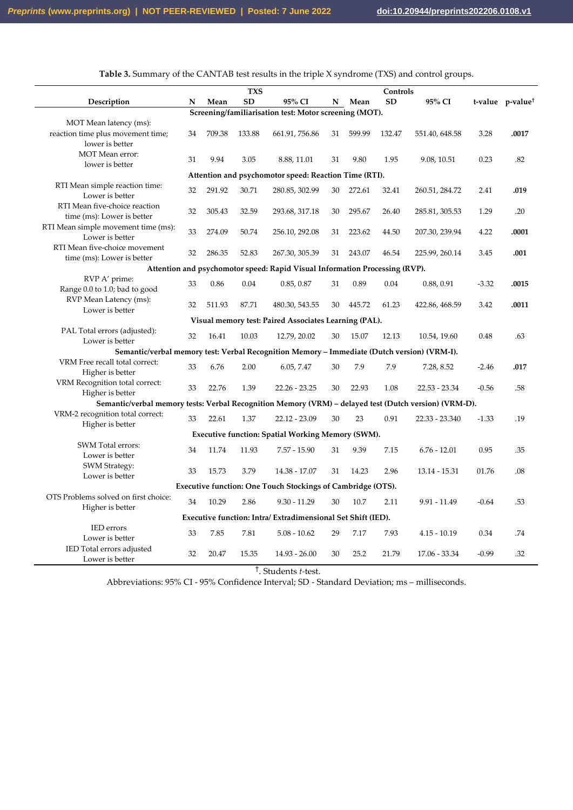|                                                                                                       |    |        | <b>TXS</b>   |                                                                             |    |        | Controls  |                 |         |                              |
|-------------------------------------------------------------------------------------------------------|----|--------|--------------|-----------------------------------------------------------------------------|----|--------|-----------|-----------------|---------|------------------------------|
| Description                                                                                           | N  | Mean   | SD           | 95% CI                                                                      |    | N Mean | <b>SD</b> | 95% CI          |         | t-value p-value <sup>1</sup> |
|                                                                                                       |    |        |              | Screening/familiarisation test: Motor screening (MOT).                      |    |        |           |                 |         |                              |
| MOT Mean latency (ms):<br>reaction time plus movement time;<br>lower is better                        | 34 | 709.38 | 133.88       | 661.91, 756.86                                                              | 31 | 599.99 | 132.47    | 551.40, 648.58  | 3.28    | .0017                        |
| <b>MOT</b> Mean error:<br>lower is better                                                             | 31 | 9.94   | 3.05         | 8.88, 11.01                                                                 | 31 | 9.80   | 1.95      | 9.08, 10.51     | 0.23    | .82                          |
|                                                                                                       |    |        |              | Attention and psychomotor speed: Reaction Time (RTI).                       |    |        |           |                 |         |                              |
| RTI Mean simple reaction time:<br>Lower is better                                                     | 32 | 291.92 | 30.71        | 280.85, 302.99                                                              | 30 | 272.61 | 32.41     | 260.51, 284.72  | 2.41    | .019                         |
| RTI Mean five-choice reaction<br>time (ms): Lower is better                                           | 32 | 305.43 | 32.59        | 293.68, 317.18                                                              | 30 | 295.67 | 26.40     | 285.81, 305.53  | 1.29    | .20                          |
| RTI Mean simple movement time (ms):<br>Lower is better                                                | 33 | 274.09 | 50.74        | 256.10, 292.08                                                              | 31 | 223.62 | 44.50     | 207.30, 239.94  | 4.22    | .0001                        |
| RTI Mean five-choice movement<br>time (ms): Lower is better                                           | 32 | 286.35 | 52.83        | 267.30, 305.39                                                              | 31 | 243.07 | 46.54     | 225.99, 260.14  | 3.45    | .001                         |
|                                                                                                       |    |        |              | Attention and psychomotor speed: Rapid Visual Information Processing (RVP). |    |        |           |                 |         |                              |
| RVP A' prime:<br>Range 0.0 to 1.0; bad to good                                                        | 33 | 0.86   | 0.04         | 0.85, 0.87                                                                  | 31 | 0.89   | 0.04      | 0.88, 0.91      | $-3.32$ | .0015                        |
| RVP Mean Latency (ms):<br>Lower is better                                                             | 32 | 511.93 | 87.71        | 480.30, 543.55                                                              | 30 | 445.72 | 61.23     | 422.86, 468.59  | 3.42    | .0011                        |
|                                                                                                       |    |        |              | Visual memory test: Paired Associates Learning (PAL).                       |    |        |           |                 |         |                              |
| PAL Total errors (adjusted):<br>Lower is better                                                       | 32 | 16.41  | 10.03        | 12.79, 20.02                                                                | 30 | 15.07  | 12.13     | 10.54, 19.60    | 0.48    | .63                          |
| Semantic/verbal memory test: Verbal Recognition Memory - Immediate (Dutch version) (VRM-I).           |    |        |              |                                                                             |    |        |           |                 |         |                              |
| VRM Free recall total correct:<br>Higher is better                                                    | 33 | 6.76   | 2.00         | 6.05, 7.47                                                                  | 30 | 7.9    | 7.9       | 7.28, 8.52      | $-2.46$ | .017                         |
| VRM Recognition total correct:<br>Higher is better                                                    | 33 | 22.76  | 1.39         | $22.26 - 23.25$                                                             | 30 | 22.93  | 1.08      | $22.53 - 23.34$ | $-0.56$ | .58                          |
| Semantic/verbal memory tests: Verbal Recognition Memory (VRM) - delayed test (Dutch version) (VRM-D). |    |        |              |                                                                             |    |        |           |                 |         |                              |
| VRM-2 recognition total correct:<br>Higher is better                                                  | 33 | 22.61  | 1.37         | $22.12 - 23.09$                                                             | 30 | 23     | 0.91      | 22.33 - 23.340  | $-1.33$ | .19                          |
|                                                                                                       |    |        |              | <b>Executive function: Spatial Working Memory (SWM).</b>                    |    |        |           |                 |         |                              |
| SWM Total errors:<br>Lower is better                                                                  | 34 | 11.74  | 11.93        | $7.57 - 15.90$                                                              | 31 | 9.39   | 7.15      | $6.76 - 12.01$  | 0.95    | .35                          |
| <b>SWM Strategy:</b><br>Lower is better                                                               | 33 | 15.73  | 3.79         | 14.38 - 17.07                                                               | 31 | 14.23  | 2.96      | 13.14 - 15.31   | 01.76   | .08                          |
|                                                                                                       |    |        |              | Executive function: One Touch Stockings of Cambridge (OTS).                 |    |        |           |                 |         |                              |
| OTS Problems solved on first choice:<br>Higher is better                                              | 34 | 10.29  | 2.86         | $9.30 - 11.29$                                                              | 30 | 10.7   | 2.11      | $9.91 - 11.49$  | $-0.64$ | .53                          |
|                                                                                                       |    |        |              | Executive function: Intra/Extradimensional Set Shift (IED).                 |    |        |           |                 |         |                              |
| <b>IED</b> errors<br>Lower is better                                                                  | 33 | 7.85   | 7.81         | $5.08 - 10.62$                                                              | 29 | 7.17   | 7.93      | $4.15 - 10.19$  | 0.34    | .74                          |
| IED Total errors adjusted<br>Lower is better                                                          | 32 | 20.47  | 15.35<br>$+$ | $14.93 - 26.00$                                                             | 30 | 25.2   | 21.79     | 17.06 - 33.34   | $-0.99$ | .32                          |

**Table 3.** Summary of the CANTAB test results in the triple X syndrome (TXS) and control groups.

† . Students *t-*test.

Abbreviations: 95% CI - 95% Confidence Interval; SD - Standard Deviation; ms – milliseconds.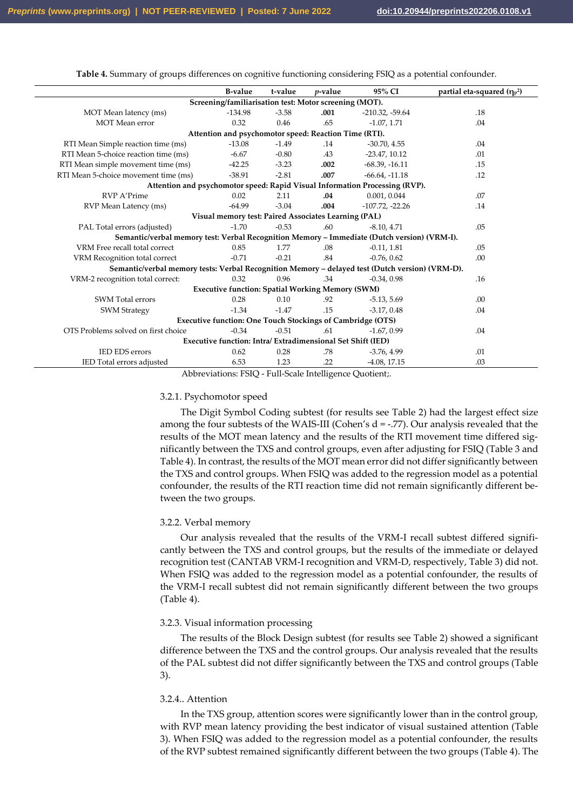|                                                                                                 | <b>B-value</b> | t-value | $p$ -value                                              | 95% CI                                                                      | partial eta-squared $(\eta_{p}^2)$ |  |  |
|-------------------------------------------------------------------------------------------------|----------------|---------|---------------------------------------------------------|-----------------------------------------------------------------------------|------------------------------------|--|--|
| Screening/familiarisation test: Motor screening (MOT).                                          |                |         |                                                         |                                                                             |                                    |  |  |
| MOT Mean latency (ms)                                                                           | $-134.98$      | $-3.58$ | .001                                                    | $-210.32, -59.64$                                                           | .18                                |  |  |
| <b>MOT</b> Mean error                                                                           | 0.32           | 0.46    | .65                                                     | $-1.07, 1.71$                                                               | .04                                |  |  |
|                                                                                                 |                |         | Attention and psychomotor speed: Reaction Time (RTI).   |                                                                             |                                    |  |  |
| RTI Mean Simple reaction time (ms)                                                              | $-13.08$       | $-1.49$ | .14                                                     | $-30.70, 4.55$                                                              | .04                                |  |  |
| RTI Mean 5-choice reaction time (ms)                                                            | $-6.67$        | $-0.80$ | .43                                                     | $-23.47, 10.12$                                                             | .01                                |  |  |
| RTI Mean simple movement time (ms)                                                              | $-42.25$       | $-3.23$ | .002                                                    | $-68.39, -16.11$                                                            | .15                                |  |  |
| RTI Mean 5-choice movement time (ms)                                                            | $-38.91$       | $-2.81$ | .007                                                    | $-66.64, -11.18$                                                            | .12                                |  |  |
|                                                                                                 |                |         |                                                         | Attention and psychomotor speed: Rapid Visual Information Processing (RVP). |                                    |  |  |
| <b>RVP A'Prime</b>                                                                              | 0.02           | 2.11    | .04                                                     | 0.001, 0.044                                                                | .07                                |  |  |
| RVP Mean Latency (ms)                                                                           | $-64.99$       | $-3.04$ | .004                                                    | $-107.72, -22.26$                                                           | .14                                |  |  |
|                                                                                                 |                |         | Visual memory test: Paired Associates Learning (PAL)    |                                                                             |                                    |  |  |
| PAL Total errors (adjusted)                                                                     | $-1.70$        | $-0.53$ | .60 <sub>1</sub>                                        | $-8.10, 4.71$                                                               | .05                                |  |  |
| Semantic/verbal memory test: Verbal Recognition Memory - Immediate (Dutch version) (VRM-I).     |                |         |                                                         |                                                                             |                                    |  |  |
| VRM Free recall total correct                                                                   | 0.85           | 1.77    | .08                                                     | $-0.11, 1.81$                                                               | .05                                |  |  |
| VRM Recognition total correct                                                                   | $-0.71$        | $-0.21$ | .84                                                     | $-0.76, 0.62$                                                               | .00                                |  |  |
| Semantic/verbal memory tests: Verbal Recognition Memory - delayed test (Dutch version) (VRM-D). |                |         |                                                         |                                                                             |                                    |  |  |
| VRM-2 recognition total correct:                                                                | 0.32           | 0.96    | .34                                                     | $-0.34, 0.98$                                                               | .16                                |  |  |
|                                                                                                 |                |         | <b>Executive function: Spatial Working Memory (SWM)</b> |                                                                             |                                    |  |  |
| <b>SWM</b> Total errors                                                                         | 0.28           | 0.10    | .92                                                     | $-5.13, 5.69$                                                               | .00                                |  |  |
| <b>SWM Strategy</b>                                                                             | $-1.34$        | $-1.47$ | .15                                                     | $-3.17, 0.48$                                                               | .04                                |  |  |
| <b>Executive function: One Touch Stockings of Cambridge (OTS)</b>                               |                |         |                                                         |                                                                             |                                    |  |  |
| OTS Problems solved on first choice                                                             | $-0.34$        | $-0.51$ | .61                                                     | $-1.67, 0.99$                                                               | .04                                |  |  |
| Executive function: Intra/Extradimensional Set Shift (IED)                                      |                |         |                                                         |                                                                             |                                    |  |  |
| <b>IED EDS</b> errors                                                                           | 0.62           | 0.28    | .78                                                     | $-3.76, 4.99$                                                               | .01                                |  |  |
| IED Total errors adjusted                                                                       | 6.53           | 1.23    | .22                                                     | $-4.08$ , 17.15                                                             | .03                                |  |  |

**Table 4.** Summary of groups differences on cognitive functioning considering FSIQ as a potential confounder.

Abbreviations: FSIQ - Full-Scale Intelligence Quotient;.

### 3.2.1. Psychomotor speed

The Digit Symbol Coding subtest (for results see Table 2) had the largest effect size among the four subtests of the WAIS-III (Cohen's  $d = -.77$ ). Our analysis revealed that the results of the MOT mean latency and the results of the RTI movement time differed significantly between the TXS and control groups, even after adjusting for FSIQ (Table 3 and Table 4). In contrast, the results of the MOT mean error did not differ significantly between the TXS and control groups. When FSIQ was added to the regression model as a potential confounder, the results of the RTI reaction time did not remain significantly different between the two groups.

#### 3.2.2. Verbal memory

Our analysis revealed that the results of the VRM-I recall subtest differed significantly between the TXS and control groups, but the results of the immediate or delayed recognition test (CANTAB VRM-I recognition and VRM-D, respectively, Table 3) did not. When FSIQ was added to the regression model as a potential confounder, the results of the VRM-I recall subtest did not remain significantly different between the two groups (Table 4).

#### 3.2.3. Visual information processing

The results of the Block Design subtest (for results see Table 2) showed a significant difference between the TXS and the control groups. Our analysis revealed that the results of the PAL subtest did not differ significantly between the TXS and control groups (Table 3).

### 3.2.4.. Attention

In the TXS group, attention scores were significantly lower than in the control group, with RVP mean latency providing the best indicator of visual sustained attention (Table 3). When FSIQ was added to the regression model as a potential confounder, the results of the RVP subtest remained significantly different between the two groups (Table 4). The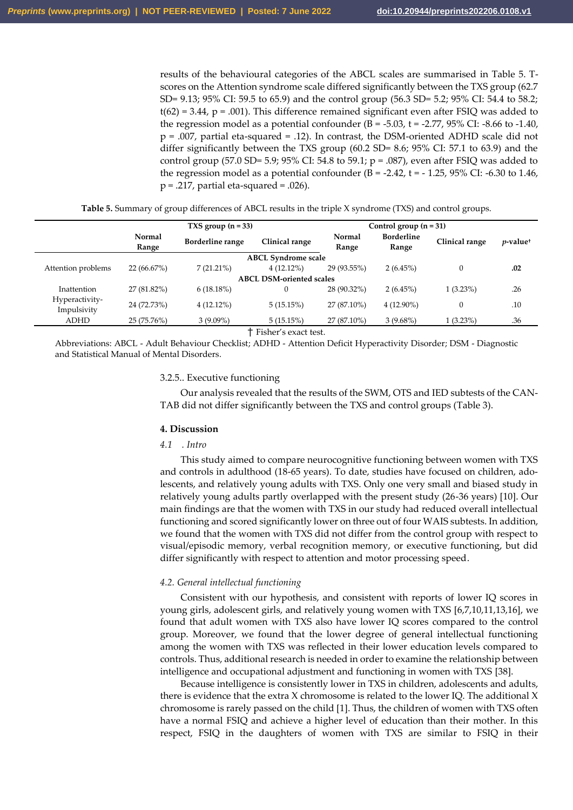results of the behavioural categories of the ABCL scales are summarised in Table 5. Tscores on the Attention syndrome scale differed significantly between the TXS group (62.7 SD= 9.13; 95% CI: 59.5 to 65.9) and the control group (56.3 SD= 5.2; 95% CI: 54.4 to 58.2;  $t(62) = 3.44$ ,  $p = .001$ ). This difference remained significant even after FSIQ was added to the regression model as a potential confounder  $(B = -5.03, t = -2.77, 95\% \text{ CI: } -8.66 \text{ to } -1.40,$ p = .007, partial eta-squared = .12). In contrast, the DSM-oriented ADHD scale did not differ significantly between the TXS group (60.2 SD= 8.6; 95% CI: 57.1 to 63.9) and the control group (57.0 SD= 5.9; 95% CI: 54.8 to 59.1;  $p = .087$ ), even after FSIQ was added to the regression model as a potential confounder (B = -2.42, t = - 1.25, 95% CI: -6.30 to 1.46,  $p = .217$ , partial eta-squared = .026).

| Table 5. Summary of group differences of ABCL results in the triple X syndrome (TXS) and control groups. |  |  |  |  |
|----------------------------------------------------------------------------------------------------------|--|--|--|--|
|                                                                                                          |  |  |  |  |

|                               |                 | TXS group $(n = 33)$    |                                 | Control group $(n = 31)$ |                            |                |                         |
|-------------------------------|-----------------|-------------------------|---------------------------------|--------------------------|----------------------------|----------------|-------------------------|
|                               | Normal<br>Range | <b>Borderline</b> range | Clinical range                  | <b>Normal</b><br>Range   | <b>Borderline</b><br>Range | Clinical range | $p$ -value <sup>+</sup> |
|                               |                 |                         | <b>ABCL Syndrome scale</b>      |                          |                            |                |                         |
| Attention problems            | 22(66.67%)      | $7(21.21\%)$            | $4(12.12\%)$                    | 29 (93.55%)              | $2(6.45\%)$                |                | .02                     |
|                               |                 |                         | <b>ABCL DSM-oriented scales</b> |                          |                            |                |                         |
| Inattention                   | 27 (81.82%)     | $6(18.18\%)$            | 0                               | 28 (90.32%)              | $2(6.45\%)$                | $1(3.23\%)$    | .26                     |
| Hyperactivity-<br>Impulsivity | 24 (72.73%)     | $4(12.12\%)$            | 5(15.15%)                       | 27 (87.10%)              | $4(12.90\%)$               |                | .10                     |
| <b>ADHD</b>                   | 25 (75.76%)     | $3(9.09\%)$             | 5(15.15%)                       | 27 (87.10%)              | $3(9.68\%)$                | $1(3.23\%)$    | .36                     |

† Fisher's exact test.

Abbreviations: ABCL - Adult Behaviour Checklist; ADHD - Attention Deficit Hyperactivity Disorder; DSM - Diagnostic and Statistical Manual of Mental Disorders.

## 3.2.5.. Executive functioning

Our analysis revealed that the results of the SWM, OTS and IED subtests of the CAN-TAB did not differ significantly between the TXS and control groups (Table 3).

### **4. Discussion**

#### *4.1 . Intro*

This study aimed to compare neurocognitive functioning between women with TXS and controls in adulthood (18-65 years). To date, studies have focused on children, adolescents, and relatively young adults with TXS. Only one very small and biased study in relatively young adults partly overlapped with the present study (26-36 years) [10]. Our main findings are that the women with TXS in our study had reduced overall intellectual functioning and scored significantly lower on three out of four WAIS subtests. In addition, we found that the women with TXS did not differ from the control group with respect to visual/episodic memory, verbal recognition memory, or executive functioning, but did differ significantly with respect to attention and motor processing speed.

### *4.2. General intellectual functioning*

Consistent with our hypothesis, and consistent with reports of lower IQ scores in young girls, adolescent girls, and relatively young women with TXS [6,7,10,11,13,16], we found that adult women with TXS also have lower IQ scores compared to the control group. Moreover, we found that the lower degree of general intellectual functioning among the women with TXS was reflected in their lower education levels compared to controls. Thus, additional research is needed in order to examine the relationship between intelligence and occupational adjustment and functioning in women with TXS [38].

Because intelligence is consistently lower in TXS in children, adolescents and adults, there is evidence that the extra X chromosome is related to the lower IQ. The additional X chromosome is rarely passed on the child [1]. Thus, the children of women with TXS often have a normal FSIQ and achieve a higher level of education than their mother. In this respect, FSIQ in the daughters of women with TXS are similar to FSIQ in their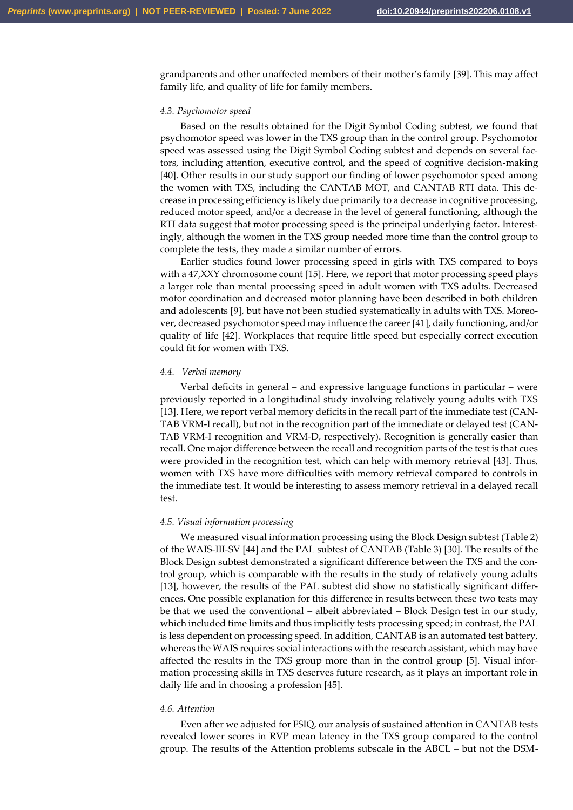grandparents and other unaffected members of their mother's family [39]. This may affect family life, and quality of life for family members.

### *4.3. Psychomotor speed*

Based on the results obtained for the Digit Symbol Coding subtest, we found that psychomotor speed was lower in the TXS group than in the control group. Psychomotor speed was assessed using the Digit Symbol Coding subtest and depends on several factors, including attention, executive control, and the speed of cognitive decision-making [40]. Other results in our study support our finding of lower psychomotor speed among the women with TXS, including the CANTAB MOT, and CANTAB RTI data. This decrease in processing efficiency is likely due primarily to a decrease in cognitive processing, reduced motor speed, and/or a decrease in the level of general functioning, although the RTI data suggest that motor processing speed is the principal underlying factor. Interestingly, although the women in the TXS group needed more time than the control group to complete the tests, they made a similar number of errors.

Earlier studies found lower processing speed in girls with TXS compared to boys with a 47,XXY chromosome count [15]. Here, we report that motor processing speed plays a larger role than mental processing speed in adult women with TXS adults. Decreased motor coordination and decreased motor planning have been described in both children and adolescents [9], but have not been studied systematically in adults with TXS. Moreover, decreased psychomotor speed may influence the career [41], daily functioning, and/or quality of life [42]. Workplaces that require little speed but especially correct execution could fit for women with TXS.

### *4.4. Verbal memory*

Verbal deficits in general  $-$  and expressive language functions in particular  $-$  were previously reported in a longitudinal study involving relatively young adults with TXS [13]. Here, we report verbal memory deficits in the recall part of the immediate test (CAN-TAB VRM-I recall), but not in the recognition part of the immediate or delayed test (CAN-TAB VRM-I recognition and VRM-D, respectively). Recognition is generally easier than recall. One major difference between the recall and recognition parts of the test is that cues were provided in the recognition test, which can help with memory retrieval [43]. Thus, women with TXS have more difficulties with memory retrieval compared to controls in the immediate test. It would be interesting to assess memory retrieval in a delayed recall test.

#### *4.5. Visual information processing*

We measured visual information processing using the Block Design subtest (Table 2) of the WAIS-III-SV [44] and the PAL subtest of CANTAB (Table 3) [30]. The results of the Block Design subtest demonstrated a significant difference between the TXS and the control group, which is comparable with the results in the study of relatively young adults [13], however, the results of the PAL subtest did show no statistically significant differences. One possible explanation for this difference in results between these two tests may be that we used the conventional  $-$  albeit abbreviated  $-$  Block Design test in our study, which included time limits and thus implicitly tests processing speed; in contrast, the PAL is less dependent on processing speed. In addition, CANTAB is an automated test battery, whereas the WAIS requires social interactions with the research assistant, which may have affected the results in the TXS group more than in the control group [5]. Visual information processing skills in TXS deserves future research, as it plays an important role in daily life and in choosing a profession [45].

### *4.6. Attention*

Even after we adjusted for FSIQ, our analysis of sustained attention in CANTAB tests revealed lower scores in RVP mean latency in the TXS group compared to the control group. The results of the Attention problems subscale in the ABCL – but not the DSM-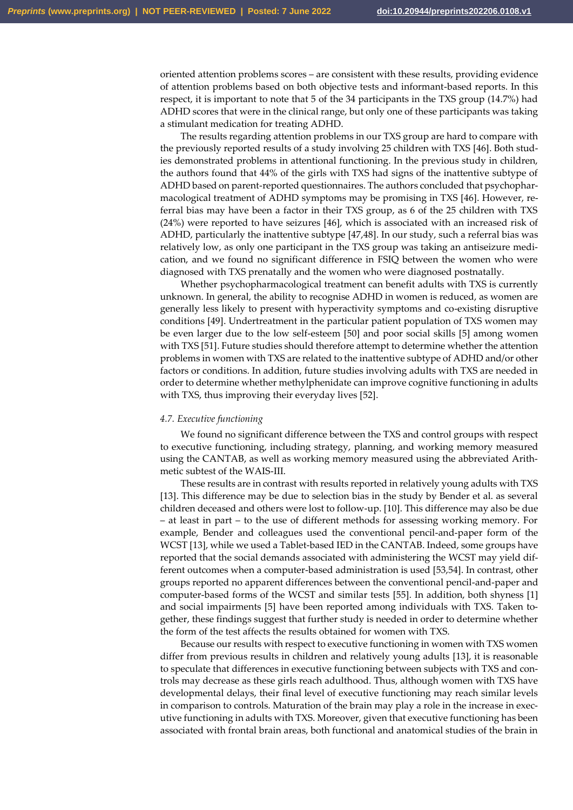oriented attention problems scores – are consistent with these results, providing evidence of attention problems based on both objective tests and informant-based reports. In this respect, it is important to note that 5 of the 34 participants in the TXS group (14.7%) had ADHD scores that were in the clinical range, but only one of these participants was taking a stimulant medication for treating ADHD.

The results regarding attention problems in our TXS group are hard to compare with the previously reported results of a study involving 25 children with TXS [46]. Both studies demonstrated problems in attentional functioning. In the previous study in children, the authors found that 44% of the girls with TXS had signs of the inattentive subtype of ADHD based on parent-reported questionnaires. The authors concluded that psychopharmacological treatment of ADHD symptoms may be promising in TXS [46]. However, referral bias may have been a factor in their TXS group, as 6 of the 25 children with TXS (24%) were reported to have seizures [46], which is associated with an increased risk of ADHD, particularly the inattentive subtype [47,48]. In our study, such a referral bias was relatively low, as only one participant in the TXS group was taking an antiseizure medication, and we found no significant difference in FSIQ between the women who were diagnosed with TXS prenatally and the women who were diagnosed postnatally.

Whether psychopharmacological treatment can benefit adults with TXS is currently unknown. In general, the ability to recognise ADHD in women is reduced, as women are generally less likely to present with hyperactivity symptoms and co-existing disruptive conditions [49]. Undertreatment in the particular patient population of TXS women may be even larger due to the low self-esteem [50] and poor social skills [5] among women with TXS [51]. Future studies should therefore attempt to determine whether the attention problems in women with TXS are related to the inattentive subtype of ADHD and/or other factors or conditions. In addition, future studies involving adults with TXS are needed in order to determine whether methylphenidate can improve cognitive functioning in adults with TXS, thus improving their everyday lives [52].

# *4.7. Executive functioning*

We found no significant difference between the TXS and control groups with respect to executive functioning, including strategy, planning, and working memory measured using the CANTAB, as well as working memory measured using the abbreviated Arithmetic subtest of the WAIS-III.

These results are in contrast with results reported in relatively young adults with TXS [13]. This difference may be due to selection bias in the study by Bender et al. as several children deceased and others were lost to follow-up. [10]. This difference may also be due – at least in part – to the use of different methods for assessing working memory. For example, Bender and colleagues used the conventional pencil-and-paper form of the WCST [13], while we used a Tablet-based IED in the CANTAB. Indeed, some groups have reported that the social demands associated with administering the WCST may yield different outcomes when a computer-based administration is used [53,54]. In contrast, other groups reported no apparent differences between the conventional pencil-and-paper and computer-based forms of the WCST and similar tests [55]. In addition, both shyness [1] and social impairments [5] have been reported among individuals with TXS. Taken together, these findings suggest that further study is needed in order to determine whether the form of the test affects the results obtained for women with TXS.

Because our results with respect to executive functioning in women with TXS women differ from previous results in children and relatively young adults [13], it is reasonable to speculate that differences in executive functioning between subjects with TXS and controls may decrease as these girls reach adulthood. Thus, although women with TXS have developmental delays, their final level of executive functioning may reach similar levels in comparison to controls. Maturation of the brain may play a role in the increase in executive functioning in adults with TXS. Moreover, given that executive functioning has been associated with frontal brain areas, both functional and anatomical studies of the brain in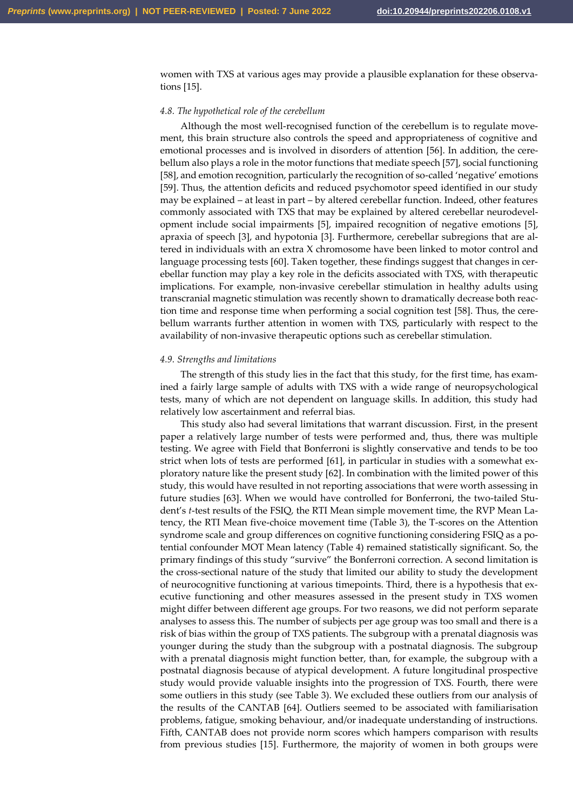women with TXS at various ages may provide a plausible explanation for these observations [15].

### *4.8. The hypothetical role of the cerebellum*

Although the most well-recognised function of the cerebellum is to regulate movement, this brain structure also controls the speed and appropriateness of cognitive and emotional processes and is involved in disorders of attention [56]. In addition, the cerebellum also plays a role in the motor functions that mediate speech [57], social functioning [58], and emotion recognition, particularly the recognition of so-called 'negative' emotions [59]. Thus, the attention deficits and reduced psychomotor speed identified in our study may be explained – at least in part – by altered cerebellar function. Indeed, other features commonly associated with TXS that may be explained by altered cerebellar neurodevelopment include social impairments [5], impaired recognition of negative emotions [5], apraxia of speech [3], and hypotonia [3]. Furthermore, cerebellar subregions that are altered in individuals with an extra X chromosome have been linked to motor control and language processing tests [60]. Taken together, these findings suggest that changes in cerebellar function may play a key role in the deficits associated with TXS, with therapeutic implications. For example, non-invasive cerebellar stimulation in healthy adults using transcranial magnetic stimulation was recently shown to dramatically decrease both reaction time and response time when performing a social cognition test [58]. Thus, the cerebellum warrants further attention in women with TXS, particularly with respect to the availability of non-invasive therapeutic options such as cerebellar stimulation.

#### *4.9. Strengths and limitations*

The strength of this study lies in the fact that this study, for the first time, has examined a fairly large sample of adults with TXS with a wide range of neuropsychological tests, many of which are not dependent on language skills. In addition, this study had relatively low ascertainment and referral bias.

This study also had several limitations that warrant discussion. First, in the present paper a relatively large number of tests were performed and, thus, there was multiple testing. We agree with Field that Bonferroni is slightly conservative and tends to be too strict when lots of tests are performed [61], in particular in studies with a somewhat exploratory nature like the present study [62]. In combination with the limited power of this study, this would have resulted in not reporting associations that were worth assessing in future studies [63]. When we would have controlled for Bonferroni, the two-tailed Student's *t*-test results of the FSIQ, the RTI Mean simple movement time, the RVP Mean Latency, the RTI Mean five-choice movement time (Table 3), the T-scores on the Attention syndrome scale and group differences on cognitive functioning considering FSIQ as a potential confounder MOT Mean latency (Table 4) remained statistically significant. So, the primary findings of this study "survive" the Bonferroni correction. A second limitation is the cross-sectional nature of the study that limited our ability to study the development of neurocognitive functioning at various timepoints. Third, there is a hypothesis that executive functioning and other measures assessed in the present study in TXS women might differ between different age groups. For two reasons, we did not perform separate analyses to assess this. The number of subjects per age group was too small and there is a risk of bias within the group of TXS patients. The subgroup with a prenatal diagnosis was younger during the study than the subgroup with a postnatal diagnosis. The subgroup with a prenatal diagnosis might function better, than, for example, the subgroup with a postnatal diagnosis because of atypical development. A future longitudinal prospective study would provide valuable insights into the progression of TXS. Fourth, there were some outliers in this study (see Table 3). We excluded these outliers from our analysis of the results of the CANTAB [64]. Outliers seemed to be associated with familiarisation problems, fatigue, smoking behaviour, and/or inadequate understanding of instructions. Fifth, CANTAB does not provide norm scores which hampers comparison with results from previous studies [15]. Furthermore, the majority of women in both groups were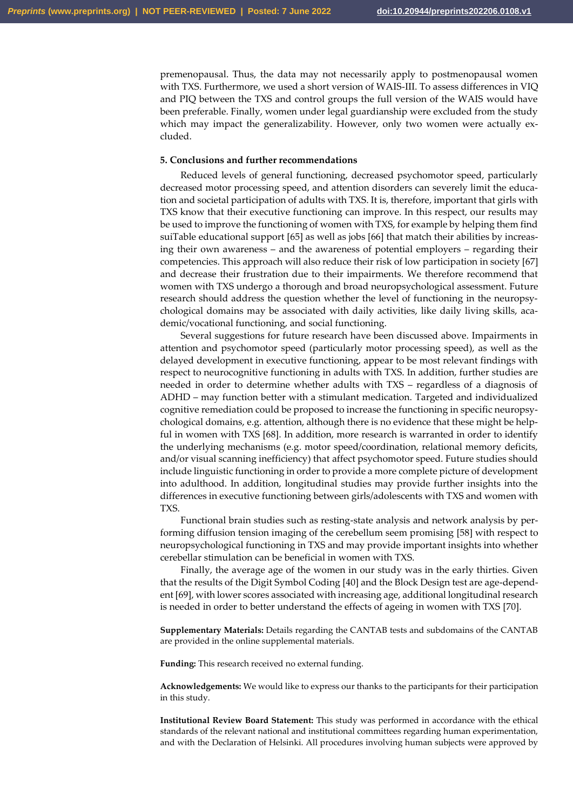premenopausal. Thus, the data may not necessarily apply to postmenopausal women with TXS. Furthermore, we used a short version of WAIS-III. To assess differences in VIQ and PIQ between the TXS and control groups the full version of the WAIS would have been preferable. Finally, women under legal guardianship were excluded from the study which may impact the generalizability. However, only two women were actually excluded.

# **5. Conclusions and further recommendations**

Reduced levels of general functioning, decreased psychomotor speed, particularly decreased motor processing speed, and attention disorders can severely limit the education and societal participation of adults with TXS. It is, therefore, important that girls with TXS know that their executive functioning can improve. In this respect, our results may be used to improve the functioning of women with TXS, for example by helping them find suiTable educational support [65] as well as jobs [66] that match their abilities by increasing their own awareness – and the awareness of potential employers – regarding their competencies. This approach will also reduce their risk of low participation in society [67] and decrease their frustration due to their impairments. We therefore recommend that women with TXS undergo a thorough and broad neuropsychological assessment. Future research should address the question whether the level of functioning in the neuropsychological domains may be associated with daily activities, like daily living skills, academic/vocational functioning, and social functioning.

Several suggestions for future research have been discussed above. Impairments in attention and psychomotor speed (particularly motor processing speed), as well as the delayed development in executive functioning, appear to be most relevant findings with respect to neurocognitive functioning in adults with TXS. In addition, further studies are needed in order to determine whether adults with TXS – regardless of a diagnosis of ADHD – may function better with a stimulant medication. Targeted and individualized cognitive remediation could be proposed to increase the functioning in specific neuropsychological domains, e.g. attention, although there is no evidence that these might be helpful in women with TXS [68]. In addition, more research is warranted in order to identify the underlying mechanisms (e.g. motor speed/coordination, relational memory deficits, and/or visual scanning inefficiency) that affect psychomotor speed. Future studies should include linguistic functioning in order to provide a more complete picture of development into adulthood. In addition, longitudinal studies may provide further insights into the differences in executive functioning between girls/adolescents with TXS and women with TXS.

Functional brain studies such as resting-state analysis and network analysis by performing diffusion tension imaging of the cerebellum seem promising [58] with respect to neuropsychological functioning in TXS and may provide important insights into whether cerebellar stimulation can be beneficial in women with TXS.

Finally, the average age of the women in our study was in the early thirties. Given that the results of the Digit Symbol Coding [40] and the Block Design test are age-dependent [69], with lower scores associated with increasing age, additional longitudinal research is needed in order to better understand the effects of ageing in women with TXS [70].

**Supplementary Materials:** Details regarding the CANTAB tests and subdomains of the CANTAB are provided in the online supplemental materials.

**Funding:** This research received no external funding.

**Acknowledgements:** We would like to express our thanks to the participants for their participation in this study.

**Institutional Review Board Statement:** This study was performed in accordance with the ethical standards of the relevant national and institutional committees regarding human experimentation, and with the Declaration of Helsinki. All procedures involving human subjects were approved by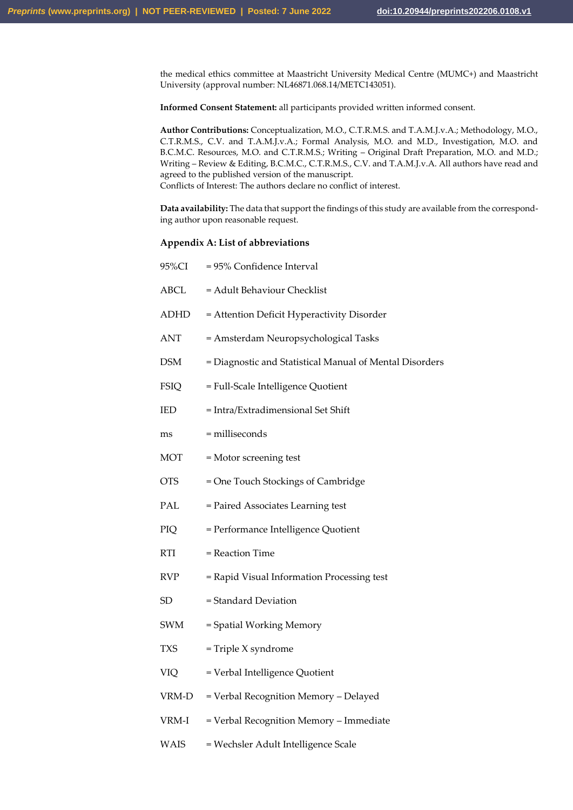the medical ethics committee at Maastricht University Medical Centre (MUMC+) and Maastricht University (approval number: NL46871.068.14/METC143051).

**Informed Consent Statement:** all participants provided written informed consent.

**Author Contributions:** Conceptualization, M.O., C.T.R.M.S. and T.A.M.J.v.A.; Methodology, M.O., C.T.R.M.S., C.V. and T.A.M.J.v.A.; Formal Analysis, M.O. and M.D., Investigation, M.O. and B.C.M.C. Resources, M.O. and C.T.R.M.S.; Writing - Original Draft Preparation, M.O. and M.D.; Writing – Review & Editing, B.C.M.C., C.T.R.M.S., C.V. and T.A.M.J.v.A. All authors have read and agreed to the published version of the manuscript. Conflicts of Interest: The authors declare no conflict of interest.

**Data availability:** The data that support the findings of this study are available from the corresponding author upon reasonable request.

# **Appendix A: List of abbreviations**

| 95%CI       | = 95% Confidence Interval                               |
|-------------|---------------------------------------------------------|
| <b>ABCL</b> | = Adult Behaviour Checklist                             |
| ADHD        | = Attention Deficit Hyperactivity Disorder              |
| <b>ANT</b>  | = Amsterdam Neuropsychological Tasks                    |
| <b>DSM</b>  | = Diagnostic and Statistical Manual of Mental Disorders |
| <b>FSIQ</b> | = Full-Scale Intelligence Quotient                      |
| IED         | = Intra/Extradimensional Set Shift                      |
| ms          | = milliseconds                                          |
| <b>MOT</b>  | = Motor screening test                                  |
| <b>OTS</b>  | = One Touch Stockings of Cambridge                      |
| PAL         | = Paired Associates Learning test                       |
| PIQ         | = Performance Intelligence Quotient                     |
| <b>RTI</b>  | = Reaction Time                                         |
| <b>RVP</b>  | = Rapid Visual Information Processing test              |
| <b>SD</b>   | = Standard Deviation                                    |
| SWM         | = Spatial Working Memory                                |
| <b>TXS</b>  | = Triple X syndrome                                     |
| VIQ         | = Verbal Intelligence Quotient                          |
| VRM-D       | = Verbal Recognition Memory - Delayed                   |
| VRM-I       | = Verbal Recognition Memory - Immediate                 |
| <b>WAIS</b> | = Wechsler Adult Intelligence Scale                     |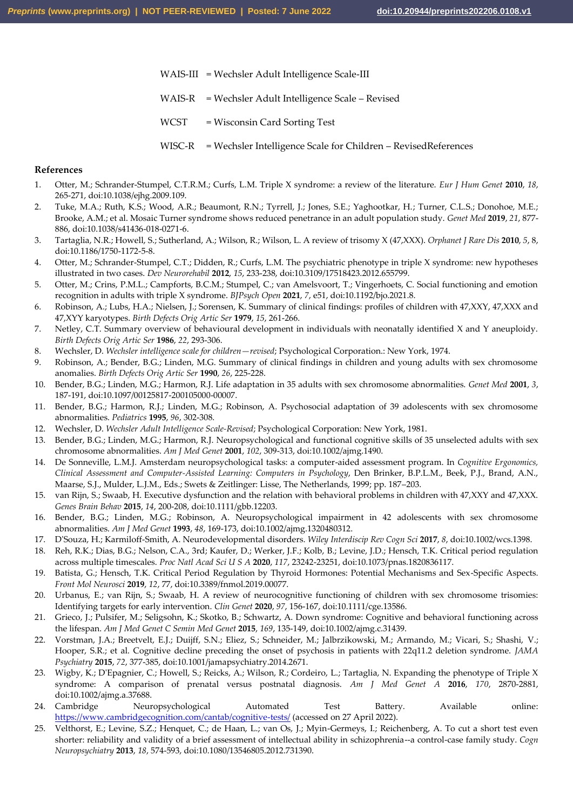- WAIS-III = Wechsler Adult Intelligence Scale-III
- WAIS-R = Wechsler Adult Intelligence Scale Revised
- WCST = Wisconsin Card Sorting Test
- WISC-R = Wechsler Intelligence Scale for Children RevisedReferences

# **References**

- 1. Otter, M.; Schrander-Stumpel, C.T.R.M.; Curfs, L.M. Triple X syndrome: a review of the literature. *Eur J Hum Genet* **2010**, *18*, 265-271, doi:10.1038/ejhg.2009.109.
- 2. Tuke, M.A.; Ruth, K.S.; Wood, A.R.; Beaumont, R.N.; Tyrrell, J.; Jones, S.E.; Yaghootkar, H.; Turner, C.L.S.; Donohoe, M.E.; Brooke, A.M.; et al. Mosaic Turner syndrome shows reduced penetrance in an adult population study. *Genet Med* **2019**, *21*, 877- 886, doi:10.1038/s41436-018-0271-6.
- 3. Tartaglia, N.R.; Howell, S.; Sutherland, A.; Wilson, R.; Wilson, L. A review of trisomy X (47,XXX). *Orphanet J Rare Dis* **2010**, *5*, 8, doi:10.1186/1750-1172-5-8.
- 4. Otter, M.; Schrander-Stumpel, C.T.; Didden, R.; Curfs, L.M. The psychiatric phenotype in triple X syndrome: new hypotheses illustrated in two cases. *Dev Neurorehabil* **2012**, *15*, 233-238, doi:10.3109/17518423.2012.655799.
- 5. Otter, M.; Crins, P.M.L.; Campforts, B.C.M.; Stumpel, C.; van Amelsvoort, T.; Vingerhoets, C. Social functioning and emotion recognition in adults with triple X syndrome. *BJPsych Open* **2021**, *7*, e51, doi:10.1192/bjo.2021.8.
- 6. Robinson, A.; Lubs, H.A.; Nielsen, J.; Sorensen, K. Summary of clinical findings: profiles of children with 47,XXY, 47,XXX and 47,XYY karyotypes. *Birth Defects Orig Artic Ser* **1979**, *15*, 261-266.
- 7. Netley, C.T. Summary overview of behavioural development in individuals with neonatally identified X and Y aneuploidy. *Birth Defects Orig Artic Ser* **1986**, *22*, 293-306.
- 8. Wechsler, D. *Wechsler intelligence scale for children—revised*; Psychological Corporation.: New York, 1974.
- 9. Robinson, A.; Bender, B.G.; Linden, M.G. Summary of clinical findings in children and young adults with sex chromosome anomalies. *Birth Defects Orig Artic Ser* **1990**, *26*, 225-228.
- 10. Bender, B.G.; Linden, M.G.; Harmon, R.J. Life adaptation in 35 adults with sex chromosome abnormalities. *Genet Med* **2001**, *3*, 187-191, doi:10.1097/00125817-200105000-00007.
- 11. Bender, B.G.; Harmon, R.J.; Linden, M.G.; Robinson, A. Psychosocial adaptation of 39 adolescents with sex chromosome abnormalities. *Pediatrics* **1995**, *96*, 302-308.
- 12. Wechsler, D. *Wechsler Adult Intelligence Scale-Revised*; Psychological Corporation: New York, 1981.
- 13. Bender, B.G.; Linden, M.G.; Harmon, R.J. Neuropsychological and functional cognitive skills of 35 unselected adults with sex chromosome abnormalities. *Am J Med Genet* **2001**, *102*, 309-313, doi:10.1002/ajmg.1490.
- 14. De Sonneville, L.M.J. Amsterdam neuropsychological tasks: a computer-aided assessment program. In *Cognitive Ergonomics, Clinical Assessment and Computer-Assisted Learning: Computers in Psychology*, Den Brinker, B.P.L.M., Beek, P.J., Brand, A.N., Maarse, S.J., Mulder, L.J.M., Eds.; Swets & Zeitlinger: Lisse, The Netherlands, 1999; pp. 187–203.
- 15. van Rijn, S.; Swaab, H. Executive dysfunction and the relation with behavioral problems in children with 47,XXY and 47,XXX. *Genes Brain Behav* **2015**, *14*, 200-208, doi:10.1111/gbb.12203.
- 16. Bender, B.G.; Linden, M.G.; Robinson, A. Neuropsychological impairment in 42 adolescents with sex chromosome abnormalities. *Am J Med Genet* **1993**, *48*, 169-173, doi:10.1002/ajmg.1320480312.
- 17. D'Souza, H.; Karmiloff-Smith, A. Neurodevelopmental disorders. *Wiley Interdiscip Rev Cogn Sci* **2017**, *8*, doi:10.1002/wcs.1398.
- 18. Reh, R.K.; Dias, B.G.; Nelson, C.A., 3rd; Kaufer, D.; Werker, J.F.; Kolb, B.; Levine, J.D.; Hensch, T.K. Critical period regulation across multiple timescales. *Proc Natl Acad Sci U S A* **2020**, *117*, 23242-23251, doi:10.1073/pnas.1820836117.
- 19. Batista, G.; Hensch, T.K. Critical Period Regulation by Thyroid Hormones: Potential Mechanisms and Sex-Specific Aspects. *Front Mol Neurosci* **2019**, *12*, 77, doi:10.3389/fnmol.2019.00077.
- 20. Urbanus, E.; van Rijn, S.; Swaab, H. A review of neurocognitive functioning of children with sex chromosome trisomies: Identifying targets for early intervention. *Clin Genet* **2020**, *97*, 156-167, doi:10.1111/cge.13586.
- 21. Grieco, J.; Pulsifer, M.; Seligsohn, K.; Skotko, B.; Schwartz, A. Down syndrome: Cognitive and behavioral functioning across the lifespan. *Am J Med Genet C Semin Med Genet* **2015**, *169*, 135-149, doi:10.1002/ajmg.c.31439.
- 22. Vorstman, J.A.; Breetvelt, E.J.; Duijff, S.N.; Eliez, S.; Schneider, M.; Jalbrzikowski, M.; Armando, M.; Vicari, S.; Shashi, V.; Hooper, S.R.; et al. Cognitive decline preceding the onset of psychosis in patients with 22q11.2 deletion syndrome. *JAMA Psychiatry* **2015**, *72*, 377-385, doi:10.1001/jamapsychiatry.2014.2671.
- 23. Wigby, K.; D'Epagnier, C.; Howell, S.; Reicks, A.; Wilson, R.; Cordeiro, L.; Tartaglia, N. Expanding the phenotype of Triple X syndrome: A comparison of prenatal versus postnatal diagnosis. *Am J Med Genet A* **2016**, *170*, 2870-2881, doi:10.1002/ajmg.a.37688.
- 24. Cambridge Neuropsychological Automated Test Battery. Available online: <https://www.cambridgecognition.com/cantab/cognitive-tests/> (accessed on 27 April 2022).
- 25. Velthorst, E.; Levine, S.Z.; Henquet, C.; de Haan, L.; van Os, J.; Myin-Germeys, I.; Reichenberg, A. To cut a short test even shorter: reliability and validity of a brief assessment of intellectual ability in schizophrenia--a control-case family study. *Cogn Neuropsychiatry* **2013**, *18*, 574-593, doi:10.1080/13546805.2012.731390.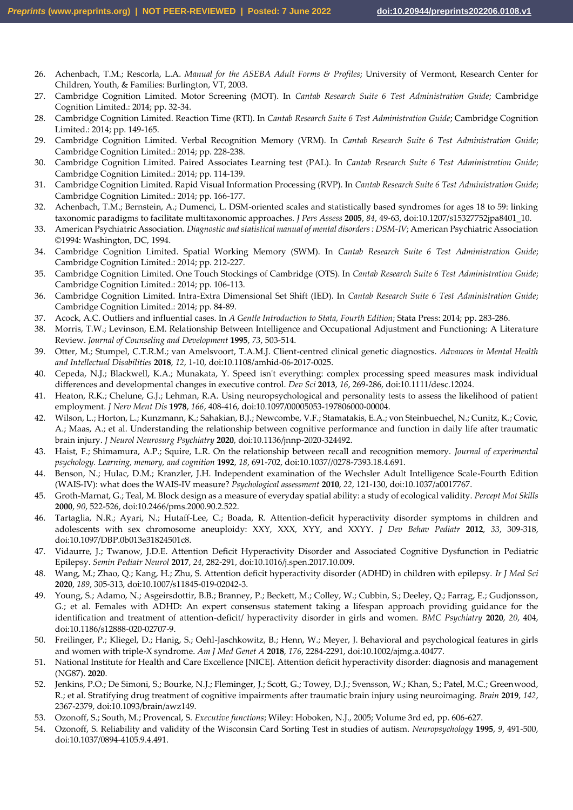- 26. Achenbach, T.M.; Rescorla, L.A. *Manual for the ASEBA Adult Forms & Profiles*; University of Vermont, Research Center for Children, Youth, & Families: Burlington, VT, 2003.
- 27. Cambridge Cognition Limited. Motor Screening (MOT). In *Cantab Research Suite 6 Test Administration Guide*; Cambridge Cognition Limited.: 2014; pp. 32-34.
- 28. Cambridge Cognition Limited. Reaction Time (RTI). In *Cantab Research Suite 6 Test Administration Guide*; Cambridge Cognition Limited.: 2014; pp. 149-165.
- 29. Cambridge Cognition Limited. Verbal Recognition Memory (VRM). In *Cantab Research Suite 6 Test Administration Guide*; Cambridge Cognition Limited.: 2014; pp. 228-238.
- 30. Cambridge Cognition Limited. Paired Associates Learning test (PAL). In *Cantab Research Suite 6 Test Administration Guide*; Cambridge Cognition Limited.: 2014; pp. 114-139.
- 31. Cambridge Cognition Limited. Rapid Visual Information Processing (RVP). In *Cantab Research Suite 6 Test Administration Guide*; Cambridge Cognition Limited.: 2014; pp. 166-177.
- 32. Achenbach, T.M.; Bernstein, A.; Dumenci, L. DSM-oriented scales and statistically based syndromes for ages 18 to 59: linking taxonomic paradigms to facilitate multitaxonomic approaches. *J Pers Assess* **2005**, *84*, 49-63, doi:10.1207/s15327752jpa8401\_10.
- 33. American Psychiatric Association. *Diagnostic and statistical manual of mental disorders : DSM-IV*; American Psychiatric Association ©1994: Washington, DC, 1994.
- 34. Cambridge Cognition Limited. Spatial Working Memory (SWM). In *Cantab Research Suite 6 Test Administration Guide*; Cambridge Cognition Limited.: 2014; pp. 212-227.
- 35. Cambridge Cognition Limited. One Touch Stockings of Cambridge (OTS). In *Cantab Research Suite 6 Test Administration Guide*; Cambridge Cognition Limited.: 2014; pp. 106-113.
- 36. Cambridge Cognition Limited. Intra-Extra Dimensional Set Shift (IED). In *Cantab Research Suite 6 Test Administration Guide*; Cambridge Cognition Limited.: 2014; pp. 84-89.
- 37. Acock, A.C. Outliers and influential cases. In *A Gentle Introduction to Stata, Fourth Edition*; Stata Press: 2014; pp. 283-286.
- 38. Morris, T.W.; Levinson, E.M. Relationship Between Intelligence and Occupational Adjustment and Functioning: A Literature Review. *Journal of Counseling and Development* **1995**, *73*, 503-514.
- 39. Otter, M.; Stumpel, C.T.R.M.; van Amelsvoort, T.A.M.J. Client-centred clinical genetic diagnostics. *Advances in Mental Health and Intellectual Disabilities* **2018**, *12*, 1-10, doi:10.1108/amhid-06-2017-0025.
- 40. Cepeda, N.J.; Blackwell, K.A.; Munakata, Y. Speed isn't everything: complex processing speed measures mask individual differences and developmental changes in executive control. *Dev Sci* **2013**, *16*, 269-286, doi:10.1111/desc.12024.
- 41. Heaton, R.K.; Chelune, G.J.; Lehman, R.A. Using neuropsychological and personality tests to assess the likelihood of patient employment. *J Nerv Ment Dis* **1978**, *166*, 408-416, doi:10.1097/00005053-197806000-00004.
- 42. Wilson, L.; Horton, L.; Kunzmann, K.; Sahakian, B.J.; Newcombe, V.F.; Stamatakis, E.A.; von Steinbuechel, N.; Cunitz, K.; Covic, A.; Maas, A.; et al. Understanding the relationship between cognitive performance and function in daily life after traumatic brain injury. *J Neurol Neurosurg Psychiatry* **2020**, doi:10.1136/jnnp-2020-324492.
- 43. Haist, F.; Shimamura, A.P.; Squire, L.R. On the relationship between recall and recognition memory. *Journal of experimental psychology. Learning, memory, and cognition* **1992**, *18*, 691-702, doi:10.1037//0278-7393.18.4.691.
- 44. Benson, N.; Hulac, D.M.; Kranzler, J.H. Independent examination of the Wechsler Adult Intelligence Scale-Fourth Edition (WAIS-IV): what does the WAIS-IV measure? *Psychological assessment* **2010**, *22*, 121-130, doi:10.1037/a0017767.
- 45. Groth-Marnat, G.; Teal, M. Block design as a measure of everyday spatial ability: a study of ecological validity. *Percept Mot Skills*  **2000**, *90*, 522-526, doi:10.2466/pms.2000.90.2.522.
- 46. Tartaglia, N.R.; Ayari, N.; Hutaff-Lee, C.; Boada, R. Attention-deficit hyperactivity disorder symptoms in children and adolescents with sex chromosome aneuploidy: XXY, XXX, XYY, and XXYY. *J Dev Behav Pediatr* **2012**, *33*, 309-318, doi:10.1097/DBP.0b013e31824501c8.
- 47. Vidaurre, J.; Twanow, J.D.E. Attention Deficit Hyperactivity Disorder and Associated Cognitive Dysfunction in Pediatric Epilepsy. *Semin Pediatr Neurol* **2017**, *24*, 282-291, doi:10.1016/j.spen.2017.10.009.
- 48. Wang, M.; Zhao, Q.; Kang, H.; Zhu, S. Attention deficit hyperactivity disorder (ADHD) in children with epilepsy. *Ir J Med Sci*  **2020**, *189*, 305-313, doi:10.1007/s11845-019-02042-3.
- 49. Young, S.; Adamo, N.; Asgeirsdottir, B.B.; Branney, P.; Beckett, M.; Colley, W.; Cubbin, S.; Deeley, Q.; Farrag, E.; Gudjonsson, G.; et al. Females with ADHD: An expert consensus statement taking a lifespan approach providing guidance for the identification and treatment of attention-deficit/ hyperactivity disorder in girls and women. *BMC Psychiatry* **2020**, *20*, 404, doi:10.1186/s12888-020-02707-9.
- 50. Freilinger, P.; Kliegel, D.; Hanig, S.; Oehl-Jaschkowitz, B.; Henn, W.; Meyer, J. Behavioral and psychological features in girls and women with triple-X syndrome. *Am J Med Genet A* **2018**, *176*, 2284-2291, doi:10.1002/ajmg.a.40477.
- 51. National Institute for Health and Care Excellence [NICE]. Attention deficit hyperactivity disorder: diagnosis and management (NG87). **2020**.
- 52. Jenkins, P.O.; De Simoni, S.; Bourke, N.J.; Fleminger, J.; Scott, G.; Towey, D.J.; Svensson, W.; Khan, S.; Patel, M.C.; Greenwood, R.; et al. Stratifying drug treatment of cognitive impairments after traumatic brain injury using neuroimaging. *Brain* **2019**, *142*, 2367-2379, doi:10.1093/brain/awz149.
- 53. Ozonoff, S.; South, M.; Provencal, S. *Executive functions*; Wiley: Hoboken, N.J., 2005; Volume 3rd ed, pp. 606-627.
- 54. Ozonoff, S. Reliability and validity of the Wisconsin Card Sorting Test in studies of autism. *Neuropsychology* **1995**, *9*, 491-500, doi:10.1037/0894-4105.9.4.491.